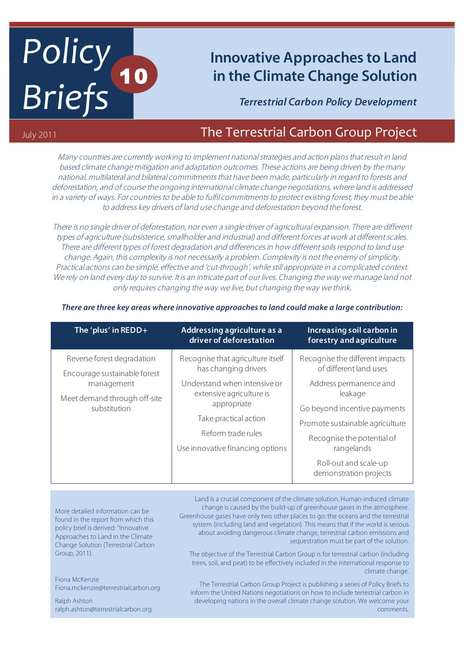# *Policy! Briefs* 10

# **Innovative Approaches to Land in the Climate Change Solution**

*Terrestrial Carbon Policy Development*

## July 2011 **The Terrestrial Carbon Group Project Carbon Group Project**

Many countries are currently working to implement national strategies and action plans that result in land based climate change mitigation and adaptation outcomes. These actions are being driven by the many national, multilateral and bilateral commitments that have been made, particularly in regard to forests and deforestation, and of course the ongoing international climate change negotiations, where land is addressed in a variety of ways. For countries to be able to fulfil commitments to protect existing forest, they must be able to address key drivers of land use change and deforestation beyond the forest.

There is no single driver of deforestation, nor even a single driver of agricultural expansion. There are different types of agriculture (subsistence, smallholder and industrial) and different forces at work at different scales. There are different types of forest degradation and differences in how different soils respond to land use change. Again, this complexity is not necessarily a problem. Complexity is not the enemy of simplicity. Practical actions can be simple, effective and 'cut-through', while still appropriate in a complicated context. We rely on land every day to survive. It is an intricate part of our lives. Changing the way we manage land not only requires changing the way we live, but changing the way we think.

| The 'plus' in REDD+                                                                                                      | Addressing agriculture as a<br>driver of deforestation                                           | <b>Increasing soil carbon in</b><br>forestry and agriculture    |
|--------------------------------------------------------------------------------------------------------------------------|--------------------------------------------------------------------------------------------------|-----------------------------------------------------------------|
| Reverse forest degradation<br>Encourage sustainable forest<br>management<br>Meet demand through off-site<br>substitution | Recognise that agriculture itself<br>has changing drivers                                        | Recognise the different impacts<br>of different land uses       |
|                                                                                                                          | Understand when intensive or<br>extensive agriculture is<br>appropriate<br>Take practical action | Address permanence and<br>leakage                               |
|                                                                                                                          |                                                                                                  | Go beyond incentive payments<br>Promote sustainable agriculture |
|                                                                                                                          | Reform trade rules<br>Use innovative financing options                                           | Recognise the potential of<br>rangelands                        |
|                                                                                                                          |                                                                                                  | Roll-out and scale-up<br>demonstration projects                 |

#### *There are three key areas where innovative approaches to land could make a large contribution:*

More detailed information can be found in the report from which this policy brief is derived: "Innovative Approaches to Land in the Climate Change Solution (Terrestrial Carbon Group, 2011).

Fiona McKenzie Fiona.mckenzie@terrestrialcarbon.org

Ralph Ashton ralph.ashton@terrestrialcarbon.org

Land is a crucial component of the climate solution. Human-induced climate change is caused by the build-up of greenhouse gases in the atmosphere. Greenhouse gases have only two other places to go: the oceans and the terrestrial system (including land and vegetation). This means that if the world is serious about avoiding dangerous climate change, terrestrial carbon emissions and sequestration must be part of the solution.

The objective of the Terrestrial Carbon Group is for terrestrial carbon (including trees, soil, and peat) to be effectively included in the international response to climate change.

The Terrestrial Carbon Group Project is publishing a series of Policy Briefs to inform the United Nations negotiations on how to include terrestrial carbon in developing nations in the overall climate change solution. We welcome your comments.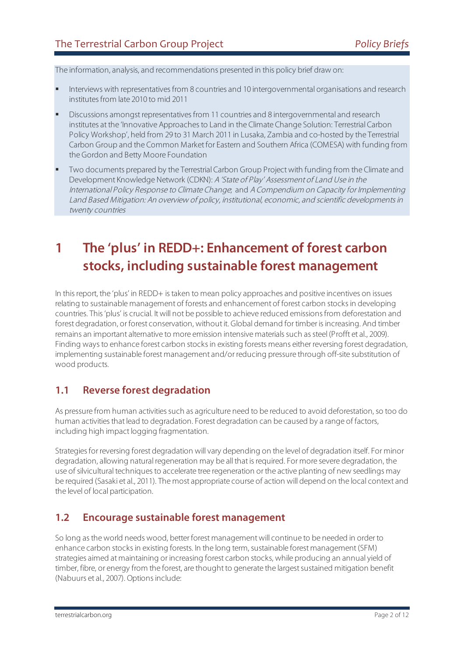The information, analysis, and recommendations presented in this policy brief draw on:

- Interviews with representatives from 8 countries and 10 intergovernmental organisations and research institutes from late 2010 to mid 2011
- Discussions amongst representatives from 11 countries and 8 intergovernmental and research institutes at the 'Innovative Approaches to Land in the Climate Change Solution: Terrestrial Carbon Policy Workshop', held from 29 to 31 March 2011 in Lusaka, Zambia and co-hosted by the Terrestrial Carbon Group and the Common Market for Eastern and Southern Africa (COMESA) with funding from the Gordon and Betty Moore Foundation
- Two documents prepared by the Terrestrial Carbon Group Project with funding from the Climate and Development Knowledge Network (CDKN): A 'State of Play' Assessment of Land Use in the International Policy Response to Climate Change; and A Compendium on Capacity for Implementing Land Based Mitigation: An overview of policy, institutional, economic, and scientific developments in twenty countries

## **1 The 'plus' in REDD+: Enhancement of forest carbon stocks, including sustainable forest management**

In this report, the 'plus' in REDD+ is taken to mean policy approaches and positive incentives on issues relating to sustainable management of forests and enhancement of forest carbon stocks in developing countries. This 'plus' is crucial. It will not be possible to achieve reduced emissions from deforestation and forest degradation, or forest conservation, without it. Global demand for timber is increasing. And timber remains an important alternative to more emission intensive materials such as steel (Profft et al., 2009). Finding ways to enhance forest carbon stocks in existing forests means either reversing forest degradation, implementing sustainable forest management and/or reducing pressure through off-site substitution of wood products.

#### **1.1 Reverse forest degradation**

As pressure from human activities such as agriculture need to be reduced to avoid deforestation, so too do human activities that lead to degradation. Forest degradation can be caused by a range of factors, including high impact logging fragmentation.

Strategies for reversing forest degradation will vary depending on the level of degradation itself. For minor degradation, allowing natural regeneration may be all that is required. For more severe degradation, the use of silvicultural techniques to accelerate tree regeneration or the active planting of new seedlings may be required (Sasaki et al., 2011). The most appropriate course of action will depend on the local context and the level of local participation.

#### **1.2 Encourage sustainable forest management**

So long as the world needs wood, better forest management will continue to be needed in order to enhance carbon stocks in existing forests. In the long term, sustainable forest management (SFM) strategies aimed at maintaining or increasing forest carbon stocks, while producing an annual yield of timber, fibre, or energy from the forest, are thought to generate the largest sustained mitigation benefit (Nabuurs et al., 2007). Options include: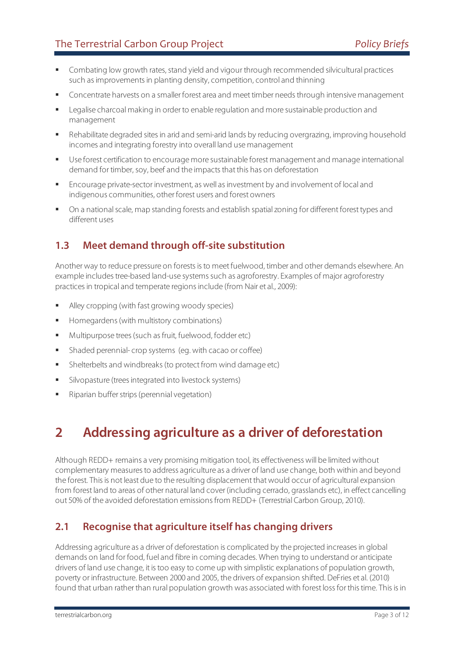- Combating low growth rates, stand yield and vigour through recommended silvicultural practices such as improvements in planting density, competition, control and thinning
- Concentrate harvests on a smaller forest area and meet timber needs through intensive management
- Legalise charcoal making in order to enable regulation and more sustainable production and management
- Rehabilitate degraded sites in arid and semi-arid lands by reducing overgrazing, improving household incomes and integrating forestry into overall land use management
- Use forest certification to encourage more sustainable forest management and manage international demand for timber, soy, beef and the impacts that this has on deforestation
- Encourage private-sector investment, as well as investment by and involvement of local and indigenous communities, other forest users and forest owners
- On a national scale, map standing forests and establish spatial zoning for different forest types and different uses

## **1.3 Meet demand through off-site substitution**

Another way to reduce pressure on forests is to meet fuelwood, timber and other demands elsewhere. An example includes tree-based land-use systems such as agroforestry. Examples of major agroforestry practices in tropical and temperate regions include (from Nair et al., 2009):

- Alley cropping (with fast growing woody species)
- Homegardens (with multistory combinations)
- **Multipurpose trees (such as fruit, fuelwood, fodder etc)**
- Shaded perennial- crop systems (eg. with cacao or coffee)
- Shelterbelts and windbreaks (to protect from wind damage etc)
- Silvopasture (trees integrated into livestock systems)
- **Riparian buffer strips (perennial vegetation)**

## **2 Addressing agriculture as a driver of deforestation**

Although REDD+ remains a very promising mitigation tool, its effectiveness will be limited without complementary measures to address agriculture as a driver of land use change, both within and beyond the forest. This is not least due to the resulting displacement that would occur of agricultural expansion from forest land to areas of other natural land cover (including cerrado, grasslands etc), in effect cancelling out 50% of the avoided deforestation emissions from REDD+ (Terrestrial Carbon Group, 2010).

#### **2.1 Recognise that agriculture itself has changing drivers**

Addressing agriculture as a driver of deforestation is complicated by the projected increases in global demands on land for food, fuel and fibre in coming decades. When trying to understand or anticipate drivers of land use change, it is too easy to come up with simplistic explanations of population growth, poverty or infrastructure. Between 2000 and 2005, the drivers of expansion shifted. DeFries et al. (2010) found that urban rather than rural population growth was associated with forest loss for this time. This is in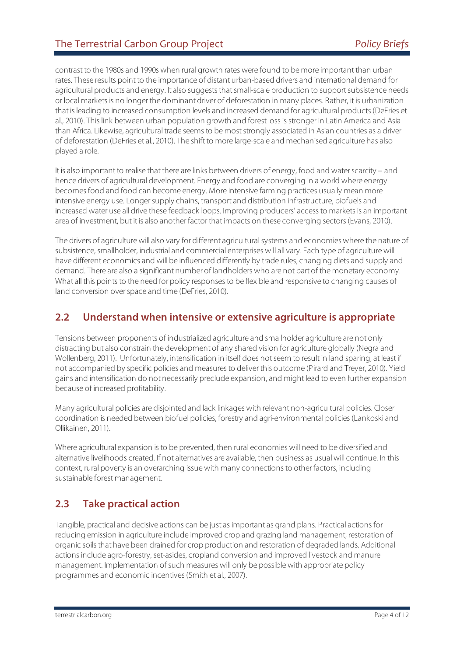contrast to the 1980s and 1990s when rural growth rates were found to be more important than urban rates. These results point to the importance of distant urban-based drivers and international demand for agricultural products and energy. It also suggests that small-scale production to support subsistence needs or local markets is no longer the dominant driver of deforestation in many places. Rather, it is urbanization that is leading to increased consumption levels and increased demand for agricultural products (DeFries et al., 2010). This link between urban population growth and forest loss is stronger in Latin America and Asia than Africa. Likewise, agricultural trade seems to be most strongly associated in Asian countries as a driver of deforestation (DeFries et al., 2010). The shift to more large-scale and mechanised agriculture has also played a role.

It is also important to realise that there are links between drivers of energy, food and water scarcity – and hence drivers of agricultural development. Energy and food are converging in a world where energy becomes food and food can become energy. More intensive farming practices usually mean more intensive energy use. Longer supply chains, transport and distribution infrastructure, biofuels and increased water use all drive these feedback loops. Improving producers' access to markets is an important area of investment, but it is also another factor that impacts on these converging sectors (Evans, 2010).

The drivers of agriculture will also vary for different agricultural systems and economies where the nature of subsistence, smallholder, industrial and commercial enterprises will all vary. Each type of agriculture will have different economics and will be influenced differently by trade rules, changing diets and supply and demand. There are also a significant number of landholders who are not part of the monetary economy. What all this points to the need for policy responses to be flexible and responsive to changing causes of land conversion over space and time (DeFries, 2010).

#### **2.2 Understand when intensive or extensive agriculture is appropriate**

Tensions between proponents of industrialized agriculture and smallholder agriculture are not only distracting but also constrain the development of any shared vision for agriculture globally (Negra and Wollenberg, 2011). Unfortunately, intensification in itself does not seem to result in land sparing, at least if not accompanied by specific policies and measures to deliver this outcome (Pirard and Treyer, 2010). Yield gains and intensification do not necessarily preclude expansion, and might lead to even further expansion because of increased profitability.

Many agricultural policies are disjointed and lack linkages with relevant non-agricultural policies. Closer coordination is needed between biofuel policies, forestry and agri-environmental policies (Lankoski and Ollikainen, 2011).

Where agricultural expansion is to be prevented, then rural economies will need to be diversified and alternative livelihoods created. If not alternatives are available, then business as usual will continue. In this context, rural poverty is an overarching issue with many connections to other factors, including sustainable forest management.

#### **2.3 Take practical action**

Tangible, practical and decisive actions can be just as important as grand plans. Practical actions for reducing emission in agriculture include improved crop and grazing land management, restoration of organic soils that have been drained for crop production and restoration of degraded lands. Additional actions include agro-forestry, set-asides, cropland conversion and improved livestock and manure management. Implementation of such measures will only be possible with appropriate policy programmes and economic incentives (Smith et al., 2007).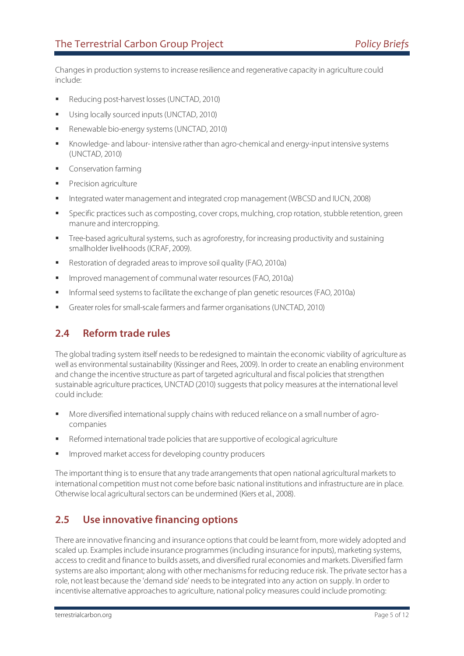Changes in production systems to increase resilience and regenerative capacity in agriculture could include:

- Reducing post-harvest losses (UNCTAD, 2010)
- Using locally sourced inputs (UNCTAD, 2010)
- Renewable bio-energy systems (UNCTAD, 2010)
- Knowledge- and labour- intensive rather than agro-chemical and energy-input intensive systems (UNCTAD, 2010)
- Conservation farming
- **Precision agriculture**
- Integrated water management and integrated crop management (WBCSD and IUCN, 2008)
- Specific practices such as composting, cover crops, mulching, crop rotation, stubble retention, green manure and intercropping.
- **Tree-based agricultural systems, such as agroforestry, for increasing productivity and sustaining** smallholder livelihoods (ICRAF, 2009).
- Restoration of degraded areas to improve soil quality (FAO, 2010a)
- Improved management of communal water resources (FAO, 2010a)
- **Informal seed systems to facilitate the exchange of plan genetic resources (FAO, 2010a)**
- Greater roles for small-scale farmers and farmer organisations (UNCTAD, 2010)

#### **2.4 Reform trade rules**

The global trading system itself needs to be redesigned to maintain the economic viability of agriculture as well as environmental sustainability (Kissinger and Rees, 2009). In order to create an enabling environment and change the incentive structure as part of targeted agricultural and fiscal policies that strengthen sustainable agriculture practices, UNCTAD (2010) suggests that policy measures at the international level could include:

- More diversified international supply chains with reduced reliance on a small number of agrocompanies
- Reformed international trade policies that are supportive of ecological agriculture
- Improved market access for developing country producers

The important thing is to ensure that any trade arrangements that open national agricultural markets to international competition must not come before basic national institutions and infrastructure are in place. Otherwise local agricultural sectors can be undermined (Kiers et al., 2008).

#### **2.5 Use innovative financing options**

There are innovative financing and insurance options that could be learnt from, more widely adopted and scaled up. Examples include insurance programmes (including insurance for inputs), marketing systems, access to credit and finance to builds assets, and diversified rural economies and markets. Diversified farm systems are also important; along with other mechanisms for reducing reduce risk. The private sector has a role, not least because the 'demand side' needs to be integrated into any action on supply. In order to incentivise alternative approaches to agriculture, national policy measures could include promoting: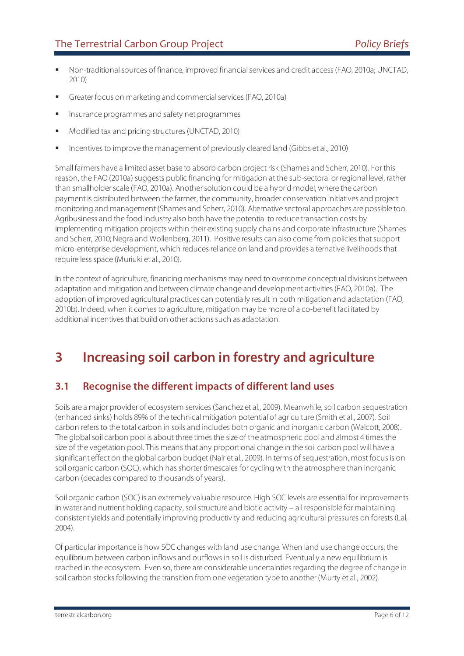- Non-traditional sources of finance, improved financial services and credit access (FAO, 2010a; UNCTAD, 2010)
- Greater focus on marketing and commercial services (FAO, 2010a)
- Insurance programmes and safety net programmes
- Modified tax and pricing structures (UNCTAD, 2010)
- Incentives to improve the management of previously cleared land (Gibbs et al., 2010)

Small farmers have a limited asset base to absorb carbon project risk (Shames and Scherr, 2010). For this reason, the FAO (2010a) suggests public financing for mitigation at the sub-sectoral or regional level, rather than smallholder scale (FAO, 2010a). Another solution could be a hybrid model, where the carbon payment is distributed between the farmer, the community, broader conservation initiatives and project monitoring and management (Shames and Scherr, 2010). Alternative sectoral approaches are possible too. Agribusiness and the food industry also both have the potential to reduce transaction costs by implementing mitigation projects within their existing supply chains and corporate infrastructure (Shames and Scherr, 2010; Negra and Wollenberg, 2011). Positive results can also come from policies that support micro-enterprise development, which reduces reliance on land and provides alternative livelihoods that require less space (Muriuki et al., 2010).

In the context of agriculture, financing mechanisms may need to overcome conceptual divisions between adaptation and mitigation and between climate change and development activities (FAO, 2010a). The adoption of improved agricultural practices can potentially result in both mitigation and adaptation (FAO, 2010b). Indeed, when it comes to agriculture, mitigation may be more of a co-benefit facilitated by additional incentives that build on other actions such as adaptation.

## **3 Increasing soil carbon in forestry and agriculture**

#### **3.1 Recognise the different impacts of different land uses**

Soils are a major provider of ecosystem services (Sanchez et al., 2009). Meanwhile, soil carbon sequestration (enhanced sinks) holds 89% of the technical mitigation potential of agriculture (Smith et al., 2007). Soil carbon refers to the total carbon in soils and includes both organic and inorganic carbon (Walcott, 2008). The global soil carbon pool is about three times the size of the atmospheric pool and almost 4 times the size of the vegetation pool. This means that any proportional change in the soil carbon pool will have a significant effect on the global carbon budget (Nair et al., 2009). In terms of sequestration, most focus is on soil organic carbon (SOC), which has shorter timescales for cycling with the atmosphere than inorganic carbon (decades compared to thousands of years).

Soil organic carbon (SOC) is an extremely valuable resource. High SOC levels are essential for improvements in water and nutrient holding capacity, soil structure and biotic activity – all responsible for maintaining consistent yields and potentially improving productivity and reducing agricultural pressures on forests (Lal, 2004).

Of particular importance is how SOC changes with land use change. When land use change occurs, the equilibrium between carbon inflows and outflows in soil is disturbed. Eventually a new equilibrium is reached in the ecosystem. Even so, there are considerable uncertainties regarding the degree of change in soil carbon stocks following the transition from one vegetation type to another (Murty et al., 2002).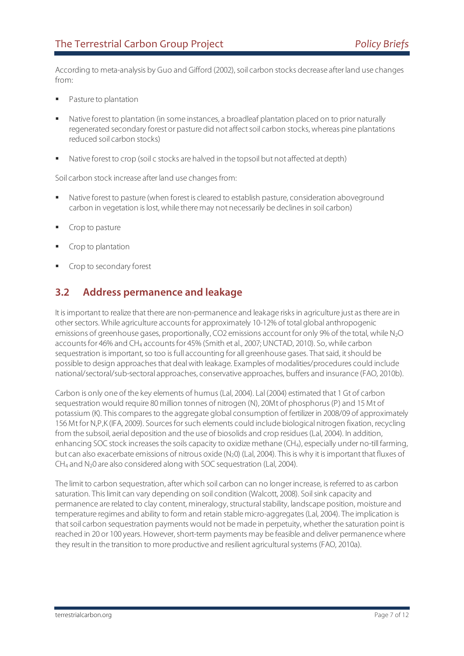According to meta-analysis by Guo and Gifford (2002), soil carbon stocks decrease after land use changes from:

- Pasture to plantation
- Native forest to plantation (in some instances, a broadleaf plantation placed on to prior naturally regenerated secondary forest or pasture did not affect soil carbon stocks, whereas pine plantations reduced soil carbon stocks)
- Native forest to crop (soil c stocks are halved in the topsoil but not affected at depth)

Soil carbon stock increase after land use changes from:

- **Native forest to pasture (when forest is cleared to establish pasture, consideration aboveground** carbon in vegetation is lost, while there may not necessarily be declines in soil carbon)
- Crop to pasture
- Crop to plantation
- Crop to secondary forest

#### **3.2 Address permanence and leakage**

It is important to realize that there are non-permanence and leakage risks in agriculture just as there are in other sectors. While agriculture accounts for approximately 10-12% of total global anthropogenic emissions of greenhouse gases, proportionally, CO2 emissions account for only 9% of the total, while N2O accounts for 46% and CH4 accounts for 45% (Smith et al., 2007; UNCTAD, 2010). So, while carbon sequestration is important, so too is full accounting for all greenhouse gases. That said, it should be possible to design approaches that deal with leakage. Examples of modalities/procedures could include national/sectoral/sub-sectoral approaches, conservative approaches, buffers and insurance (FAO, 2010b).

Carbon is only one of the key elements of humus (Lal, 2004). Lal (2004) estimated that 1 Gt of carbon sequestration would require 80 million tonnes of nitrogen (N), 20Mt of phosphorus (P) and 15 Mt of potassium (K). This compares to the aggregate global consumption of fertilizer in 2008/09 of approximately 156 Mt for N,P,K (IFA, 2009). Sources for such elements could include biological nitrogen fixation, recycling from the subsoil, aerial deposition and the use of biosolids and crop residues (Lal, 2004). In addition, enhancing SOC stock increases the soils capacity to oxidize methane (CH4), especially under no-till farming, but can also exacerbate emissions of nitrous oxide (N<sub>2</sub>0) (Lal, 2004). This is why it is important that fluxes of CH4 and N20 are also considered along with SOC sequestration (Lal, 2004).

The limit to carbon sequestration, after which soil carbon can no longer increase, is referred to as carbon saturation. This limit can vary depending on soil condition (Walcott, 2008). Soil sink capacity and permanence are related to clay content, mineralogy, structural stability, landscape position, moisture and temperature regimes and ability to form and retain stable micro-aggregates (Lal, 2004). The implication is that soil carbon sequestration payments would not be made in perpetuity, whether the saturation point is reached in 20 or 100 years. However, short-term payments may be feasible and deliver permanence where they result in the transition to more productive and resilient agricultural systems (FAO, 2010a).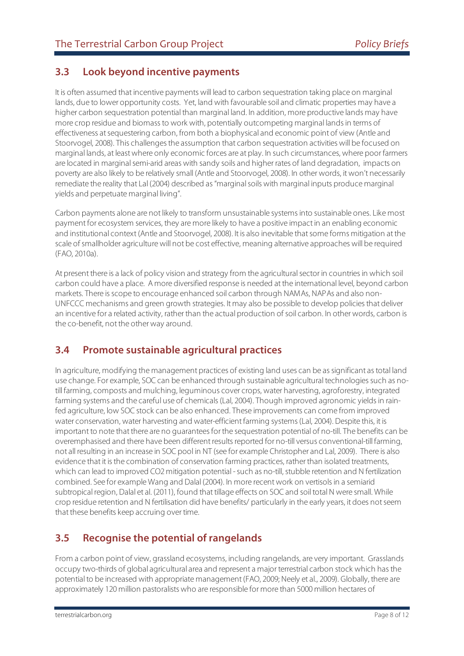#### **3.3 Look beyond incentive payments**

It is often assumed that incentive payments will lead to carbon sequestration taking place on marginal lands, due to lower opportunity costs. Yet, land with favourable soil and climatic properties may have a higher carbon sequestration potential than marginal land. In addition, more productive lands may have more crop residue and biomass to work with, potentially outcompeting marginal lands in terms of effectiveness at sequestering carbon, from both a biophysical and economic point of view (Antle and Stoorvogel, 2008). This challenges the assumption that carbon sequestration activities will be focused on marginal lands, at least where only economic forces are at play. In such circumstances, where poor farmers are located in marginal semi-arid areas with sandy soils and higher rates of land degradation, impacts on poverty are also likely to be relatively small (Antle and Stoorvogel, 2008). In other words, it won't necessarily remediate the reality that Lal (2004) described as "marginal soils with marginal inputs produce marginal yields and perpetuate marginal living".

Carbon payments alone are not likely to transform unsustainable systems into sustainable ones. Like most payment for ecosystem services, they are more likely to have a positive impact in an enabling economic and institutional context (Antle and Stoorvogel, 2008). It is also inevitable that some forms mitigation at the scale of smallholder agriculture will not be cost effective, meaning alternative approaches will be required (FAO, 2010a).

At present there is a lack of policy vision and strategy from the agricultural sector in countries in which soil carbon could have a place. A more diversified response is needed at the international level, beyond carbon markets. There is scope to encourage enhanced soil carbon through NAMAs, NAPAs and also non-UNFCCC mechanisms and green growth strategies. It may also be possible to develop policies that deliver an incentive for a related activity, rather than the actual production of soil carbon. In other words, carbon is the co-benefit, not the other way around.

#### **3.4 Promote sustainable agricultural practices**

In agriculture, modifying the management practices of existing land uses can be as significant as total land use change. For example, SOC can be enhanced through sustainable agricultural technologies such as notill farming, composts and mulching, leguminous cover crops, water harvesting, agroforestry, integrated farming systems and the careful use of chemicals (Lal, 2004). Though improved agronomic yields in rainfed agriculture, low SOC stock can be also enhanced. These improvements can come from improved water conservation, water harvesting and water-efficient farming systems (Lal, 2004). Despite this, it is important to note that there are no guarantees for the sequestration potential of no-till. The benefits can be overemphasised and there have been different results reported for no-till versus conventional-till farming, not all resulting in an increase in SOC pool in NT (see for example Christopher and Lal, 2009). There is also evidence that it is the combination of conservation farming practices, rather than isolated treatments, which can lead to improved CO2 mitigation potential - such as no-till, stubble retention and N fertilization combined. See for example Wang and Dalal (2004). In more recent work on vertisols in a semiarid subtropical region, Dalal et al. (2011), found that tillage effects on SOC and soil total N were small. While crop residue retention and N fertilisation did have benefits/ particularly in the early years, it does not seem that these benefits keep accruing over time.

#### **3.5 Recognise the potential of rangelands**

From a carbon point of view, grassland ecosystems, including rangelands, are very important. Grasslands occupy two-thirds of global agricultural area and represent a major terrestrial carbon stock which has the potential to be increased with appropriate management (FAO, 2009; Neely et al., 2009). Globally, there are approximately 120 million pastoralists who are responsible for more than 5000 million hectares of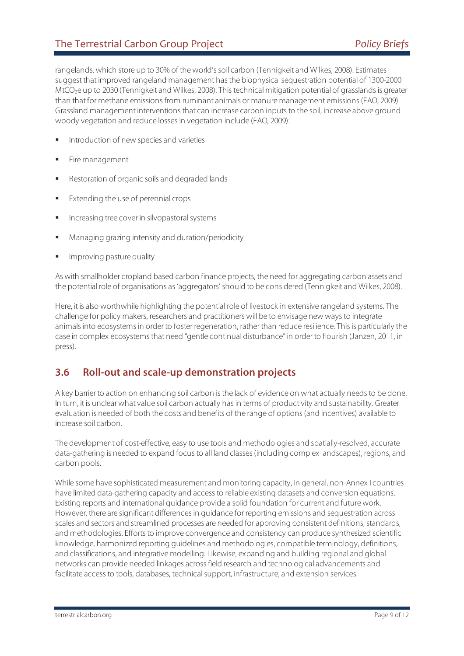#### The Terrestrial Carbon Group Project *Policy Briefs Policy Briefs*

rangelands, which store up to 30% of the world's soil carbon (Tennigkeit and Wilkes, 2008). Estimates suggest that improved rangeland management has the biophysical sequestration potential of 1300-2000 MtCO<sub>2</sub>e up to 2030 (Tennigkeit and Wilkes, 2008). This technical mitigation potential of grasslands is greater than that for methane emissions from ruminant animals or manure management emissions (FAO, 2009). Grassland management interventions that can increase carbon inputs to the soil, increase above ground woody vegetation and reduce losses in vegetation include (FAO, 2009):

- Introduction of new species and varieties
- Fire management
- Restoration of organic soils and degraded lands
- Extending the use of perennial crops
- Increasing tree cover in silvopastoral systems
- Managing grazing intensity and duration/periodicity
- Improving pasture quality

As with smallholder cropland based carbon finance projects, the need for aggregating carbon assets and the potential role of organisations as 'aggregators' should to be considered (Tennigkeit and Wilkes, 2008).

Here, it is also worthwhile highlighting the potential role of livestock in extensive rangeland systems. The challenge for policy makers, researchers and practitioners will be to envisage new ways to integrate animals into ecosystems in order to foster regeneration, rather than reduce resilience. This is particularly the case in complex ecosystems that need "gentle continual disturbance" in order to flourish (Janzen, 2011, in press).

#### **3.6 Roll-out and scale-up demonstration projects**

A key barrier to action on enhancing soil carbon is the lack of evidence on what actually needs to be done. In turn, it is unclear what value soil carbon actually has in terms of productivity and sustainability. Greater evaluation is needed of both the costs and benefits of the range of options (and incentives) available to increase soil carbon.

The development of cost-effective, easy to use tools and methodologies and spatially-resolved, accurate data-gathering is needed to expand focus to all land classes (including complex landscapes), regions, and carbon pools.

While some have sophisticated measurement and monitoring capacity, in general, non-Annex I countries have limited data-gathering capacity and access to reliable existing datasets and conversion equations. Existing reports and international guidance provide a solid foundation for current and future work. However, there are significant differences in guidance for reporting emissions and sequestration across scales and sectors and streamlined processes are needed for approving consistent definitions, standards, and methodologies. Efforts to improve convergence and consistency can produce synthesized scientific knowledge, harmonized reporting guidelines and methodologies, compatible terminology, definitions, and classifications, and integrative modelling. Likewise, expanding and building regional and global networks can provide needed linkages across field research and technological advancements and facilitate access to tools, databases, technical support, infrastructure, and extension services.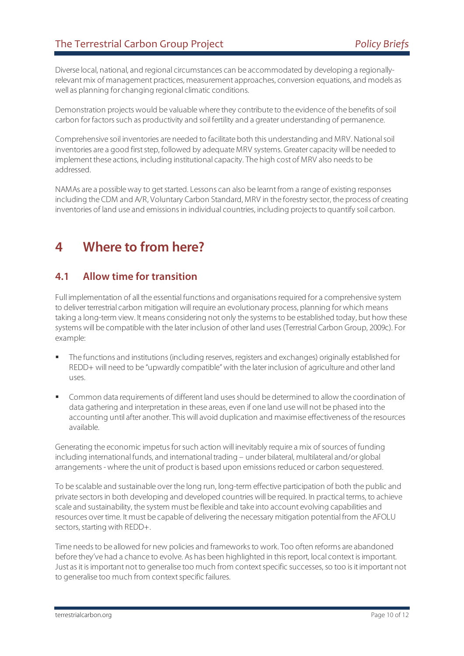Diverse local, national, and regional circumstances can be accommodated by developing a regionallyrelevant mix of management practices, measurement approaches, conversion equations, and models as well as planning for changing regional climatic conditions.

Demonstration projects would be valuable where they contribute to the evidence of the benefits of soil carbon for factors such as productivity and soil fertility and a greater understanding of permanence.

Comprehensive soil inventories are needed to facilitate both this understanding and MRV. National soil inventories are a good first step, followed by adequate MRV systems. Greater capacity will be needed to implement these actions, including institutional capacity. The high cost of MRV also needs to be addressed.

NAMAs are a possible way to get started. Lessons can also be learnt from a range of existing responses including the CDM and A/R, Voluntary Carbon Standard, MRV in the forestry sector, the process of creating inventories of land use and emissions in individual countries, including projects to quantify soil carbon.

## **4 Where to from here?**

#### **4.1 Allow time for transition**

Full implementation of all the essential functions and organisations required for a comprehensive system to deliver terrestrial carbon mitigation will require an evolutionary process, planning for which means taking a long-term view. It means considering not only the systems to be established today, but how these systems will be compatible with the later inclusion of other land uses (Terrestrial Carbon Group, 2009c). For example:

- The functions and institutions (including reserves, registers and exchanges) originally established for REDD+ will need to be "upwardly compatible" with the later inclusion of agriculture and other land uses.
- Common data requirements of different land uses should be determined to allow the coordination of data gathering and interpretation in these areas, even if one land use will not be phased into the accounting until after another. This will avoid duplication and maximise effectiveness of the resources available.

Generating the economic impetus for such action will inevitably require a mix of sources of funding including international funds, and international trading – under bilateral, multilateral and/or global arrangements - where the unit of product is based upon emissions reduced or carbon sequestered.

To be scalable and sustainable over the long run, long-term effective participation of both the public and private sectors in both developing and developed countries will be required. In practical terms, to achieve scale and sustainability, the system must be flexible and take into account evolving capabilities and resources over time. It must be capable of delivering the necessary mitigation potential from the AFOLU sectors, starting with REDD+.

Time needs to be allowed for new policies and frameworks to work. Too often reforms are abandoned before they've had a chance to evolve. As has been highlighted in this report, local context is important. Just as it is important not to generalise too much from context specific successes, so too is it important not to generalise too much from context specific failures.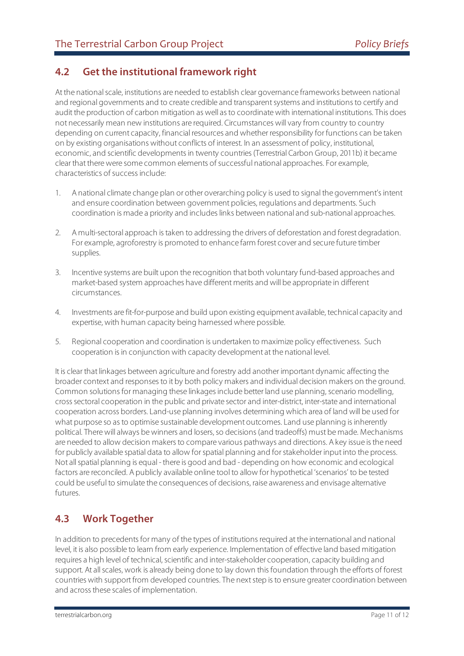## **4.2 Get the institutional framework right**

At the national scale, institutions are needed to establish clear governance frameworks between national and regional governments and to create credible and transparent systems and institutions to certify and audit the production of carbon mitigation as well as to coordinate with international institutions. This does not necessarily mean new institutions are required. Circumstances will vary from country to country depending on current capacity, financial resources and whether responsibility for functions can be taken on by existing organisations without conflicts of interest. In an assessment of policy, institutional, economic, and scientific developments in twenty countries (Terrestrial Carbon Group, 2011b) it became clear that there were some common elements of successful national approaches. For example, characteristics of success include:

- 1. A national climate change plan or other overarching policy is used to signal the government's intent and ensure coordination between government policies, regulations and departments. Such coordination is made a priority and includes links between national and sub-national approaches.
- 2. A multi-sectoral approach is taken to addressing the drivers of deforestation and forest degradation. For example, agroforestry is promoted to enhance farm forest cover and secure future timber supplies.
- 3. Incentive systems are built upon the recognition that both voluntary fund-based approaches and market-based system approaches have different merits and will be appropriate in different circumstances.
- 4. Investments are fit-for-purpose and build upon existing equipment available, technical capacity and expertise, with human capacity being harnessed where possible.
- 5. Regional cooperation and coordination is undertaken to maximize policy effectiveness. Such cooperation is in conjunction with capacity development at the national level.

It is clear that linkages between agriculture and forestry add another important dynamic affecting the broader context and responses to it by both policy makers and individual decision makers on the ground. Common solutions for managing these linkages include better land use planning, scenario modelling, cross sectoral cooperation in the public and private sector and inter-district, inter-state and international cooperation across borders. Land-use planning involves determining which area of land will be used for what purpose so as to optimise sustainable development outcomes. Land use planning is inherently political. There will always be winners and losers, so decisions (and tradeoffs) must be made. Mechanisms are needed to allow decision makers to compare various pathways and directions. A key issue is the need for publicly available spatial data to allow for spatial planning and for stakeholder input into the process. Not all spatial planning is equal - there is good and bad - depending on how economic and ecological factors are reconciled. A publicly available online tool to allow for hypothetical 'scenarios' to be tested could be useful to simulate the consequences of decisions, raise awareness and envisage alternative futures.

#### **4.3 Work Together**

In addition to precedents for many of the types of institutions required at the international and national level, it is also possible to learn from early experience. Implementation of effective land based mitigation requires a high level of technical, scientific and inter-stakeholder cooperation, capacity building and support. At all scales, work is already being done to lay down this foundation through the efforts of forest countries with support from developed countries. The next step is to ensure greater coordination between and across these scales of implementation.